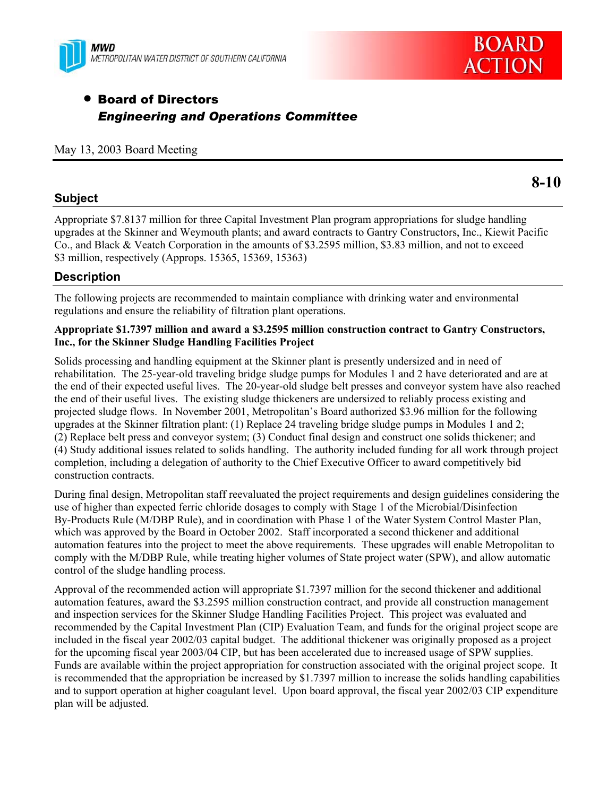



# **• Board of Directors** *Engineering and Operations Committee*

#### May 13, 2003 Board Meeting

## **Subject**

Appropriate \$7.8137 million for three Capital Investment Plan program appropriations for sludge handling upgrades at the Skinner and Weymouth plants; and award contracts to Gantry Constructors, Inc., Kiewit Pacific Co., and Black & Veatch Corporation in the amounts of \$3.2595 million, \$3.83 million, and not to exceed \$3 million, respectively (Approps. 15365, 15369, 15363)

# **Description**

The following projects are recommended to maintain compliance with drinking water and environmental regulations and ensure the reliability of filtration plant operations.

#### **Appropriate \$1.7397 million and award a \$3.2595 million construction contract to Gantry Constructors, Inc., for the Skinner Sludge Handling Facilities Project**

Solids processing and handling equipment at the Skinner plant is presently undersized and in need of rehabilitation. The 25-year-old traveling bridge sludge pumps for Modules 1 and 2 have deteriorated and are at the end of their expected useful lives. The 20-year-old sludge belt presses and conveyor system have also reached the end of their useful lives. The existing sludge thickeners are undersized to reliably process existing and projected sludge flows. In November 2001, Metropolitan's Board authorized \$3.96 million for the following upgrades at the Skinner filtration plant: (1) Replace 24 traveling bridge sludge pumps in Modules 1 and 2; (2) Replace belt press and conveyor system; (3) Conduct final design and construct one solids thickener; and (4) Study additional issues related to solids handling. The authority included funding for all work through project completion, including a delegation of authority to the Chief Executive Officer to award competitively bid construction contracts.

During final design, Metropolitan staff reevaluated the project requirements and design guidelines considering the use of higher than expected ferric chloride dosages to comply with Stage 1 of the Microbial/Disinfection By-Products Rule (M/DBP Rule), and in coordination with Phase 1 of the Water System Control Master Plan, which was approved by the Board in October 2002. Staff incorporated a second thickener and additional automation features into the project to meet the above requirements. These upgrades will enable Metropolitan to comply with the M/DBP Rule, while treating higher volumes of State project water (SPW), and allow automatic control of the sludge handling process.

Approval of the recommended action will appropriate \$1.7397 million for the second thickener and additional automation features, award the \$3.2595 million construction contract, and provide all construction management and inspection services for the Skinner Sludge Handling Facilities Project. This project was evaluated and recommended by the Capital Investment Plan (CIP) Evaluation Team, and funds for the original project scope are included in the fiscal year 2002/03 capital budget. The additional thickener was originally proposed as a project for the upcoming fiscal year 2003/04 CIP, but has been accelerated due to increased usage of SPW supplies. Funds are available within the project appropriation for construction associated with the original project scope. It is recommended that the appropriation be increased by \$1.7397 million to increase the solids handling capabilities and to support operation at higher coagulant level. Upon board approval, the fiscal year 2002/03 CIP expenditure plan will be adjusted.

# **8-10**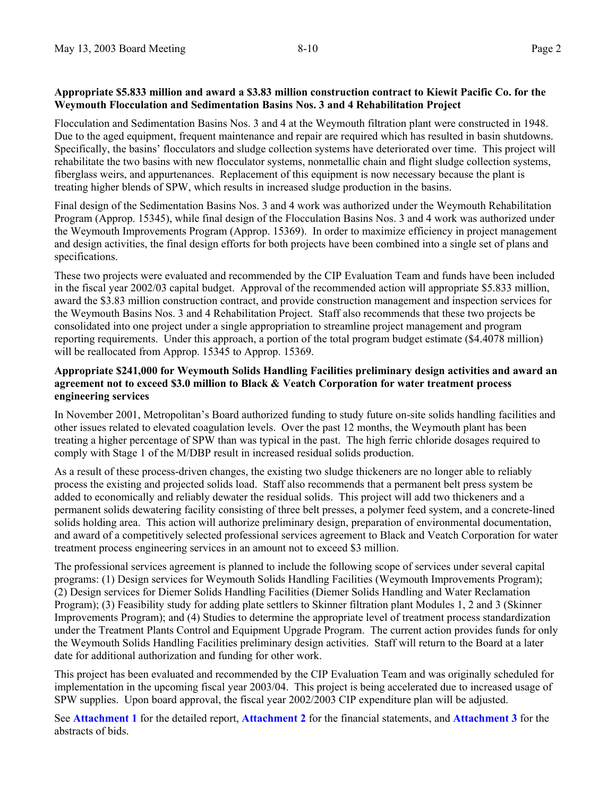#### **Appropriate \$5.833 million and award a \$3.83 million construction contract to Kiewit Pacific Co. for the Weymouth Flocculation and Sedimentation Basins Nos. 3 and 4 Rehabilitation Project**

Flocculation and Sedimentation Basins Nos. 3 and 4 at the Weymouth filtration plant were constructed in 1948. Due to the aged equipment, frequent maintenance and repair are required which has resulted in basin shutdowns. Specifically, the basins' flocculators and sludge collection systems have deteriorated over time. This project will rehabilitate the two basins with new flocculator systems, nonmetallic chain and flight sludge collection systems, fiberglass weirs, and appurtenances. Replacement of this equipment is now necessary because the plant is treating higher blends of SPW, which results in increased sludge production in the basins.

Final design of the Sedimentation Basins Nos. 3 and 4 work was authorized under the Weymouth Rehabilitation Program (Approp. 15345), while final design of the Flocculation Basins Nos. 3 and 4 work was authorized under the Weymouth Improvements Program (Approp. 15369). In order to maximize efficiency in project management and design activities, the final design efforts for both projects have been combined into a single set of plans and specifications.

These two projects were evaluated and recommended by the CIP Evaluation Team and funds have been included in the fiscal year 2002/03 capital budget. Approval of the recommended action will appropriate \$5.833 million, award the \$3.83 million construction contract, and provide construction management and inspection services for the Weymouth Basins Nos. 3 and 4 Rehabilitation Project. Staff also recommends that these two projects be consolidated into one project under a single appropriation to streamline project management and program reporting requirements. Under this approach, a portion of the total program budget estimate (\$4.4078 million) will be reallocated from Approp. 15345 to Approp. 15369.

#### **Appropriate \$241,000 for Weymouth Solids Handling Facilities preliminary design activities and award an agreement not to exceed \$3.0 million to Black & Veatch Corporation for water treatment process engineering services**

In November 2001, Metropolitan's Board authorized funding to study future on-site solids handling facilities and other issues related to elevated coagulation levels. Over the past 12 months, the Weymouth plant has been treating a higher percentage of SPW than was typical in the past. The high ferric chloride dosages required to comply with Stage 1 of the M/DBP result in increased residual solids production.

As a result of these process-driven changes, the existing two sludge thickeners are no longer able to reliably process the existing and projected solids load. Staff also recommends that a permanent belt press system be added to economically and reliably dewater the residual solids. This project will add two thickeners and a permanent solids dewatering facility consisting of three belt presses, a polymer feed system, and a concrete-lined solids holding area. This action will authorize preliminary design, preparation of environmental documentation, and award of a competitively selected professional services agreement to Black and Veatch Corporation for water treatment process engineering services in an amount not to exceed \$3 million.

The professional services agreement is planned to include the following scope of services under several capital programs: (1) Design services for Weymouth Solids Handling Facilities (Weymouth Improvements Program); (2) Design services for Diemer Solids Handling Facilities (Diemer Solids Handling and Water Reclamation Program); (3) Feasibility study for adding plate settlers to Skinner filtration plant Modules 1, 2 and 3 (Skinner Improvements Program); and (4) Studies to determine the appropriate level of treatment process standardization under the Treatment Plants Control and Equipment Upgrade Program. The current action provides funds for only the Weymouth Solids Handling Facilities preliminary design activities. Staff will return to the Board at a later date for additional authorization and funding for other work.

This project has been evaluated and recommended by the CIP Evaluation Team and was originally scheduled for implementation in the upcoming fiscal year 2003/04. This project is being accelerated due to increased usage of SPW supplies. Upon board approval, the fiscal year 2002/2003 CIP expenditure plan will be adjusted.

See **Attachment 1** for the detailed report, **Attachment 2** for the financial statements, and **Attachment 3** for the abstracts of bids.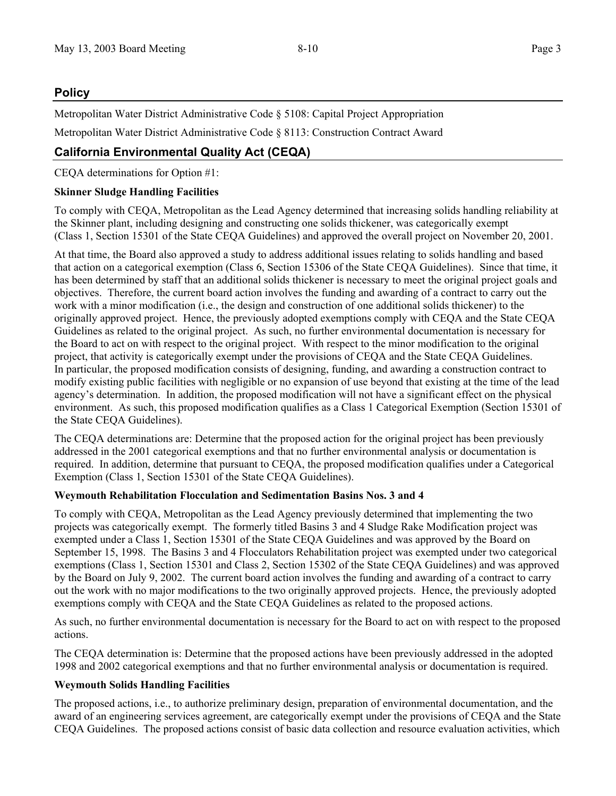# **Policy**

Metropolitan Water District Administrative Code § 5108: Capital Project Appropriation

Metropolitan Water District Administrative Code § 8113: Construction Contract Award

# **California Environmental Quality Act (CEQA)**

CEQA determinations for Option #1:

## **Skinner Sludge Handling Facilities**

To comply with CEQA, Metropolitan as the Lead Agency determined that increasing solids handling reliability at the Skinner plant, including designing and constructing one solids thickener, was categorically exempt (Class 1, Section 15301 of the State CEQA Guidelines) and approved the overall project on November 20, 2001.

At that time, the Board also approved a study to address additional issues relating to solids handling and based that action on a categorical exemption (Class 6, Section 15306 of the State CEQA Guidelines). Since that time, it has been determined by staff that an additional solids thickener is necessary to meet the original project goals and objectives. Therefore, the current board action involves the funding and awarding of a contract to carry out the work with a minor modification (i.e., the design and construction of one additional solids thickener) to the originally approved project. Hence, the previously adopted exemptions comply with CEQA and the State CEQA Guidelines as related to the original project. As such, no further environmental documentation is necessary for the Board to act on with respect to the original project. With respect to the minor modification to the original project, that activity is categorically exempt under the provisions of CEQA and the State CEQA Guidelines. In particular, the proposed modification consists of designing, funding, and awarding a construction contract to modify existing public facilities with negligible or no expansion of use beyond that existing at the time of the lead agency's determination. In addition, the proposed modification will not have a significant effect on the physical environment. As such, this proposed modification qualifies as a Class 1 Categorical Exemption (Section 15301 of the State CEQA Guidelines).

The CEQA determinations are: Determine that the proposed action for the original project has been previously addressed in the 2001 categorical exemptions and that no further environmental analysis or documentation is required. In addition, determine that pursuant to CEQA, the proposed modification qualifies under a Categorical Exemption (Class 1, Section 15301 of the State CEQA Guidelines).

## **Weymouth Rehabilitation Flocculation and Sedimentation Basins Nos. 3 and 4**

To comply with CEQA, Metropolitan as the Lead Agency previously determined that implementing the two projects was categorically exempt. The formerly titled Basins 3 and 4 Sludge Rake Modification project was exempted under a Class 1, Section 15301 of the State CEQA Guidelines and was approved by the Board on September 15, 1998. The Basins 3 and 4 Flocculators Rehabilitation project was exempted under two categorical exemptions (Class 1, Section 15301 and Class 2, Section 15302 of the State CEQA Guidelines) and was approved by the Board on July 9, 2002. The current board action involves the funding and awarding of a contract to carry out the work with no major modifications to the two originally approved projects. Hence, the previously adopted exemptions comply with CEQA and the State CEQA Guidelines as related to the proposed actions.

As such, no further environmental documentation is necessary for the Board to act on with respect to the proposed actions.

The CEQA determination is: Determine that the proposed actions have been previously addressed in the adopted 1998 and 2002 categorical exemptions and that no further environmental analysis or documentation is required.

## **Weymouth Solids Handling Facilities**

The proposed actions, i.e., to authorize preliminary design, preparation of environmental documentation, and the award of an engineering services agreement, are categorically exempt under the provisions of CEQA and the State CEQA Guidelines. The proposed actions consist of basic data collection and resource evaluation activities, which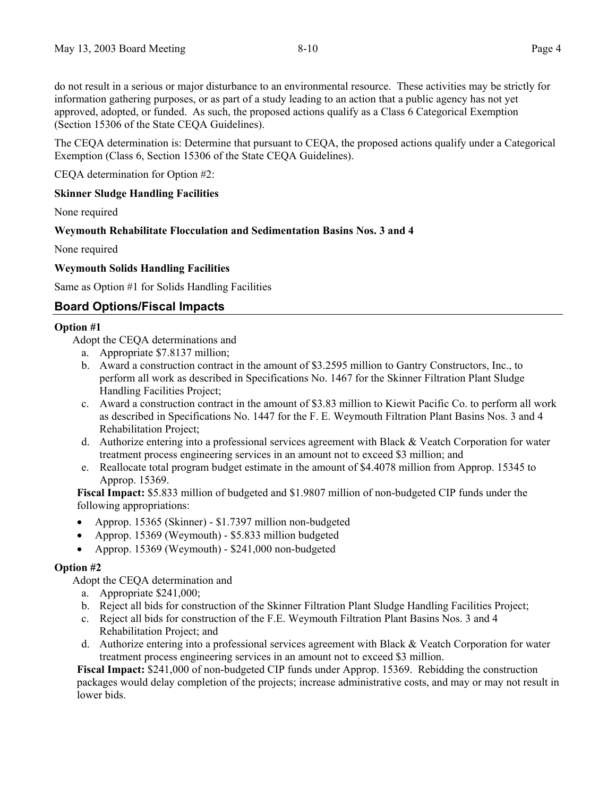do not result in a serious or major disturbance to an environmental resource. These activities may be strictly for information gathering purposes, or as part of a study leading to an action that a public agency has not yet approved, adopted, or funded. As such, the proposed actions qualify as a Class 6 Categorical Exemption (Section 15306 of the State CEQA Guidelines).

The CEQA determination is: Determine that pursuant to CEQA, the proposed actions qualify under a Categorical Exemption (Class 6, Section 15306 of the State CEQA Guidelines).

CEQA determination for Option #2:

## **Skinner Sludge Handling Facilities**

None required

### **Weymouth Rehabilitate Flocculation and Sedimentation Basins Nos. 3 and 4**

None required

### **Weymouth Solids Handling Facilities**

Same as Option #1 for Solids Handling Facilities

# **Board Options/Fiscal Impacts**

#### **Option #1**

Adopt the CEQA determinations and

- a. Appropriate \$7.8137 million;
- b. Award a construction contract in the amount of \$3.2595 million to Gantry Constructors, Inc., to perform all work as described in Specifications No. 1467 for the Skinner Filtration Plant Sludge Handling Facilities Project;
- c. Award a construction contract in the amount of \$3.83 million to Kiewit Pacific Co. to perform all work as described in Specifications No. 1447 for the F. E. Weymouth Filtration Plant Basins Nos. 3 and 4 Rehabilitation Project;
- d. Authorize entering into a professional services agreement with Black & Veatch Corporation for water treatment process engineering services in an amount not to exceed \$3 million; and
- e. Reallocate total program budget estimate in the amount of \$4.4078 million from Approp. 15345 to Approp. 15369.

**Fiscal Impact:** \$5.833 million of budgeted and \$1.9807 million of non-budgeted CIP funds under the following appropriations:

- Approp. 15365 (Skinner) \$1.7397 million non-budgeted
- Approp. 15369 (Weymouth) \$5.833 million budgeted
- x Approp. 15369 (Weymouth) \$241,000 non-budgeted

#### **Option #2**

Adopt the CEQA determination and

- a. Appropriate \$241,000;
- b. Reject all bids for construction of the Skinner Filtration Plant Sludge Handling Facilities Project;
- c. Reject all bids for construction of the F.E. Weymouth Filtration Plant Basins Nos. 3 and 4 Rehabilitation Project; and
- d. Authorize entering into a professional services agreement with Black & Veatch Corporation for water treatment process engineering services in an amount not to exceed \$3 million.

**Fiscal Impact:** \$241,000 of non-budgeted CIP funds under Approp. 15369. Rebidding the construction packages would delay completion of the projects; increase administrative costs, and may or may not result in lower bids.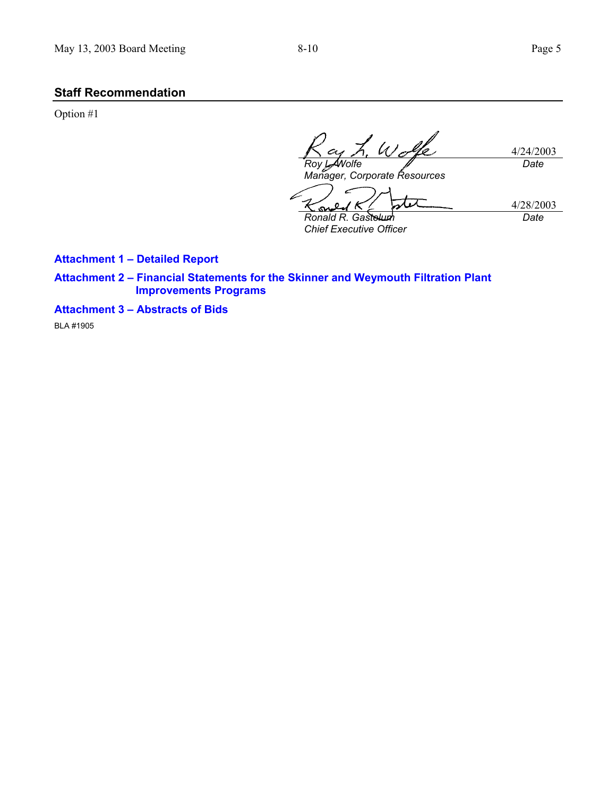R

## **Staff Recommendation**

Option #1

4/24/2003 *Roy L. Wolfe Date*

 $\varpi$ 

*Manager, Corporate Resources* 

4/28/2003 *Date*

/ K S *Ronald R. Gastelum Chief Executive Officer* 

 $\Omega$ 

**Attachment 1 – Detailed Report** 

**Attachment 2 – Financial Statements for the Skinner and Weymouth Filtration Plant Improvements Programs** 

**Attachment 3 – Abstracts of Bids** 

BLA #1905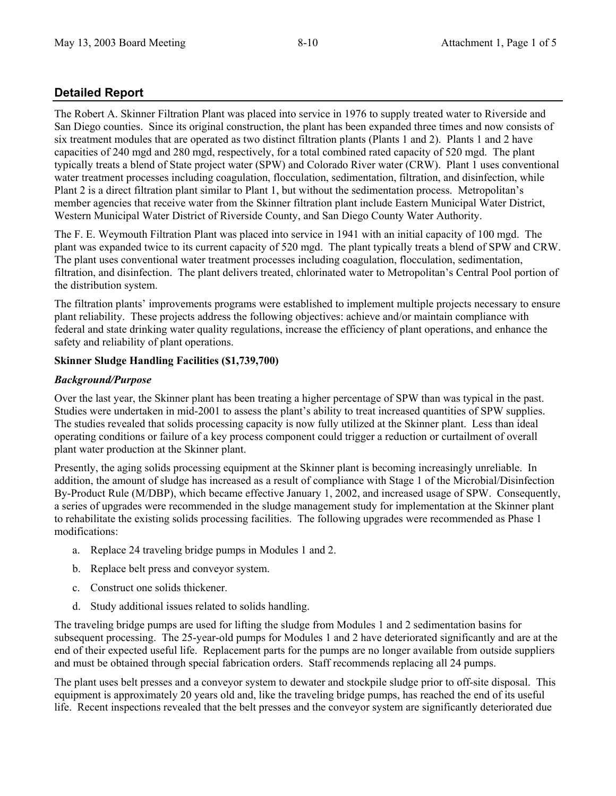# **Detailed Report**

The Robert A. Skinner Filtration Plant was placed into service in 1976 to supply treated water to Riverside and San Diego counties. Since its original construction, the plant has been expanded three times and now consists of six treatment modules that are operated as two distinct filtration plants (Plants 1 and 2). Plants 1 and 2 have capacities of 240 mgd and 280 mgd, respectively, for a total combined rated capacity of 520 mgd. The plant typically treats a blend of State project water (SPW) and Colorado River water (CRW). Plant 1 uses conventional water treatment processes including coagulation, flocculation, sedimentation, filtration, and disinfection, while Plant 2 is a direct filtration plant similar to Plant 1, but without the sedimentation process. Metropolitan's member agencies that receive water from the Skinner filtration plant include Eastern Municipal Water District, Western Municipal Water District of Riverside County, and San Diego County Water Authority.

The F. E. Weymouth Filtration Plant was placed into service in 1941 with an initial capacity of 100 mgd. The plant was expanded twice to its current capacity of 520 mgd. The plant typically treats a blend of SPW and CRW. The plant uses conventional water treatment processes including coagulation, flocculation, sedimentation, filtration, and disinfection. The plant delivers treated, chlorinated water to Metropolitan's Central Pool portion of the distribution system.

The filtration plants' improvements programs were established to implement multiple projects necessary to ensure plant reliability. These projects address the following objectives: achieve and/or maintain compliance with federal and state drinking water quality regulations, increase the efficiency of plant operations, and enhance the safety and reliability of plant operations.

## **Skinner Sludge Handling Facilities (\$1,739,700)**

### *Background/Purpose*

Over the last year, the Skinner plant has been treating a higher percentage of SPW than was typical in the past. Studies were undertaken in mid-2001 to assess the plant's ability to treat increased quantities of SPW supplies. The studies revealed that solids processing capacity is now fully utilized at the Skinner plant. Less than ideal operating conditions or failure of a key process component could trigger a reduction or curtailment of overall plant water production at the Skinner plant.

Presently, the aging solids processing equipment at the Skinner plant is becoming increasingly unreliable. In addition, the amount of sludge has increased as a result of compliance with Stage 1 of the Microbial/Disinfection By-Product Rule (M/DBP), which became effective January 1, 2002, and increased usage of SPW. Consequently, a series of upgrades were recommended in the sludge management study for implementation at the Skinner plant to rehabilitate the existing solids processing facilities. The following upgrades were recommended as Phase 1 modifications:

- a. Replace 24 traveling bridge pumps in Modules 1 and 2.
- b. Replace belt press and conveyor system.
- c. Construct one solids thickener.
- d. Study additional issues related to solids handling.

The traveling bridge pumps are used for lifting the sludge from Modules 1 and 2 sedimentation basins for subsequent processing. The 25-year-old pumps for Modules 1 and 2 have deteriorated significantly and are at the end of their expected useful life. Replacement parts for the pumps are no longer available from outside suppliers and must be obtained through special fabrication orders. Staff recommends replacing all 24 pumps.

The plant uses belt presses and a conveyor system to dewater and stockpile sludge prior to off-site disposal. This equipment is approximately 20 years old and, like the traveling bridge pumps, has reached the end of its useful life. Recent inspections revealed that the belt presses and the conveyor system are significantly deteriorated due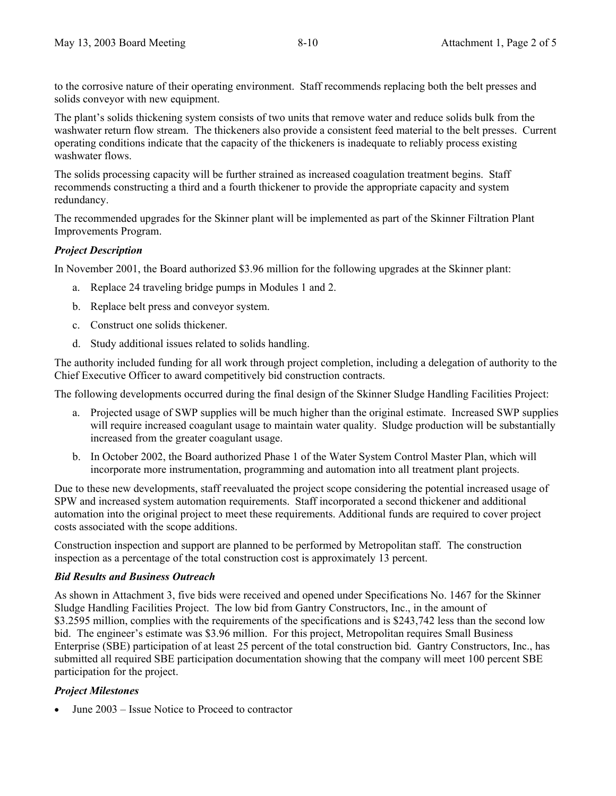to the corrosive nature of their operating environment. Staff recommends replacing both the belt presses and solids conveyor with new equipment.

The plant's solids thickening system consists of two units that remove water and reduce solids bulk from the washwater return flow stream. The thickeners also provide a consistent feed material to the belt presses. Current operating conditions indicate that the capacity of the thickeners is inadequate to reliably process existing washwater flows.

The solids processing capacity will be further strained as increased coagulation treatment begins. Staff recommends constructing a third and a fourth thickener to provide the appropriate capacity and system redundancy.

The recommended upgrades for the Skinner plant will be implemented as part of the Skinner Filtration Plant Improvements Program.

## *Project Description*

In November 2001, the Board authorized \$3.96 million for the following upgrades at the Skinner plant:

- a. Replace 24 traveling bridge pumps in Modules 1 and 2.
- b. Replace belt press and conveyor system.
- c. Construct one solids thickener.
- d. Study additional issues related to solids handling.

The authority included funding for all work through project completion, including a delegation of authority to the Chief Executive Officer to award competitively bid construction contracts.

The following developments occurred during the final design of the Skinner Sludge Handling Facilities Project:

- a. Projected usage of SWP supplies will be much higher than the original estimate. Increased SWP supplies will require increased coagulant usage to maintain water quality. Sludge production will be substantially increased from the greater coagulant usage.
- b. In October 2002, the Board authorized Phase 1 of the Water System Control Master Plan, which will incorporate more instrumentation, programming and automation into all treatment plant projects.

Due to these new developments, staff reevaluated the project scope considering the potential increased usage of SPW and increased system automation requirements. Staff incorporated a second thickener and additional automation into the original project to meet these requirements. Additional funds are required to cover project costs associated with the scope additions.

Construction inspection and support are planned to be performed by Metropolitan staff. The construction inspection as a percentage of the total construction cost is approximately 13 percent.

#### *Bid Results and Business Outreach*

As shown in Attachment 3, five bids were received and opened under Specifications No. 1467 for the Skinner Sludge Handling Facilities Project. The low bid from Gantry Constructors, Inc., in the amount of \$3.2595 million, complies with the requirements of the specifications and is \$243,742 less than the second low bid. The engineer's estimate was \$3.96 million. For this project, Metropolitan requires Small Business Enterprise (SBE) participation of at least 25 percent of the total construction bid. Gantry Constructors, Inc., has submitted all required SBE participation documentation showing that the company will meet 100 percent SBE participation for the project.

## *Project Milestones*

June 2003 – Issue Notice to Proceed to contractor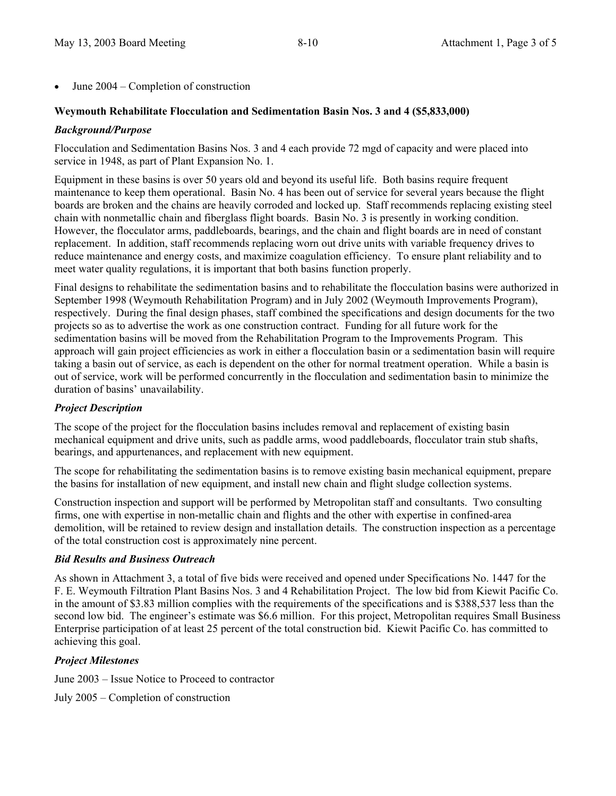June 2004 – Completion of construction

### **Weymouth Rehabilitate Flocculation and Sedimentation Basin Nos. 3 and 4 (\$5,833,000)**

#### *Background/Purpose*

Flocculation and Sedimentation Basins Nos. 3 and 4 each provide 72 mgd of capacity and were placed into service in 1948, as part of Plant Expansion No. 1.

Equipment in these basins is over 50 years old and beyond its useful life. Both basins require frequent maintenance to keep them operational. Basin No. 4 has been out of service for several years because the flight boards are broken and the chains are heavily corroded and locked up. Staff recommends replacing existing steel chain with nonmetallic chain and fiberglass flight boards. Basin No. 3 is presently in working condition. However, the flocculator arms, paddleboards, bearings, and the chain and flight boards are in need of constant replacement. In addition, staff recommends replacing worn out drive units with variable frequency drives to reduce maintenance and energy costs, and maximize coagulation efficiency. To ensure plant reliability and to meet water quality regulations, it is important that both basins function properly.

Final designs to rehabilitate the sedimentation basins and to rehabilitate the flocculation basins were authorized in September 1998 (Weymouth Rehabilitation Program) and in July 2002 (Weymouth Improvements Program), respectively. During the final design phases, staff combined the specifications and design documents for the two projects so as to advertise the work as one construction contract. Funding for all future work for the sedimentation basins will be moved from the Rehabilitation Program to the Improvements Program. This approach will gain project efficiencies as work in either a flocculation basin or a sedimentation basin will require taking a basin out of service, as each is dependent on the other for normal treatment operation. While a basin is out of service, work will be performed concurrently in the flocculation and sedimentation basin to minimize the duration of basins' unavailability.

#### *Project Description*

The scope of the project for the flocculation basins includes removal and replacement of existing basin mechanical equipment and drive units, such as paddle arms, wood paddleboards, flocculator train stub shafts, bearings, and appurtenances, and replacement with new equipment.

The scope for rehabilitating the sedimentation basins is to remove existing basin mechanical equipment, prepare the basins for installation of new equipment, and install new chain and flight sludge collection systems.

Construction inspection and support will be performed by Metropolitan staff and consultants. Two consulting firms, one with expertise in non-metallic chain and flights and the other with expertise in confined-area demolition, will be retained to review design and installation details. The construction inspection as a percentage of the total construction cost is approximately nine percent.

#### *Bid Results and Business Outreach*

As shown in Attachment 3, a total of five bids were received and opened under Specifications No. 1447 for the F. E. Weymouth Filtration Plant Basins Nos. 3 and 4 Rehabilitation Project. The low bid from Kiewit Pacific Co. in the amount of \$3.83 million complies with the requirements of the specifications and is \$388,537 less than the second low bid. The engineer's estimate was \$6.6 million. For this project, Metropolitan requires Small Business Enterprise participation of at least 25 percent of the total construction bid. Kiewit Pacific Co. has committed to achieving this goal.

## *Project Milestones*

June 2003 – Issue Notice to Proceed to contractor

July 2005 – Completion of construction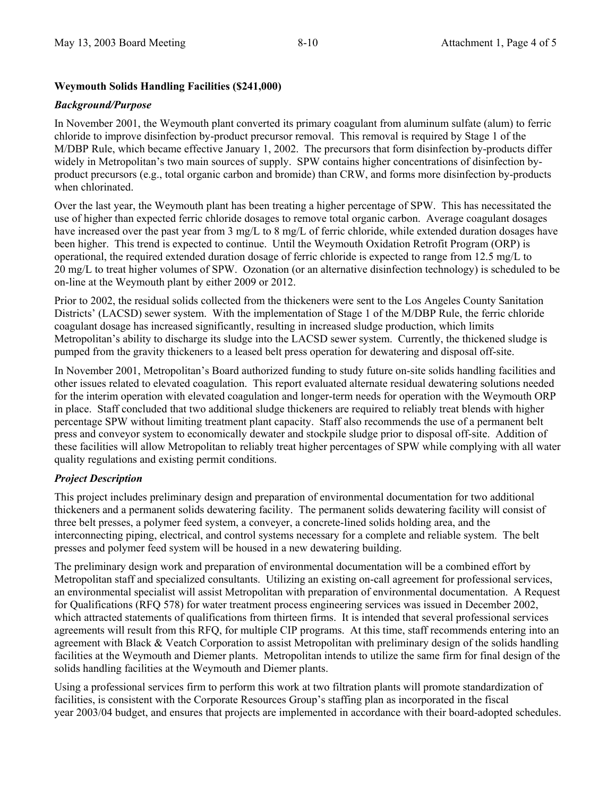## **Weymouth Solids Handling Facilities (\$241,000)**

## *Background/Purpose*

In November 2001, the Weymouth plant converted its primary coagulant from aluminum sulfate (alum) to ferric chloride to improve disinfection by-product precursor removal. This removal is required by Stage 1 of the M/DBP Rule, which became effective January 1, 2002. The precursors that form disinfection by-products differ widely in Metropolitan's two main sources of supply. SPW contains higher concentrations of disinfection byproduct precursors (e.g., total organic carbon and bromide) than CRW, and forms more disinfection by-products when chlorinated.

Over the last year, the Weymouth plant has been treating a higher percentage of SPW. This has necessitated the use of higher than expected ferric chloride dosages to remove total organic carbon. Average coagulant dosages have increased over the past year from 3 mg/L to 8 mg/L of ferric chloride, while extended duration dosages have been higher. This trend is expected to continue. Until the Weymouth Oxidation Retrofit Program (ORP) is operational, the required extended duration dosage of ferric chloride is expected to range from 12.5 mg/L to 20 mg/L to treat higher volumes of SPW. Ozonation (or an alternative disinfection technology) is scheduled to be on-line at the Weymouth plant by either 2009 or 2012.

Prior to 2002, the residual solids collected from the thickeners were sent to the Los Angeles County Sanitation Districts' (LACSD) sewer system. With the implementation of Stage 1 of the M/DBP Rule, the ferric chloride coagulant dosage has increased significantly, resulting in increased sludge production, which limits Metropolitan's ability to discharge its sludge into the LACSD sewer system. Currently, the thickened sludge is pumped from the gravity thickeners to a leased belt press operation for dewatering and disposal off-site.

In November 2001, Metropolitan's Board authorized funding to study future on-site solids handling facilities and other issues related to elevated coagulation. This report evaluated alternate residual dewatering solutions needed for the interim operation with elevated coagulation and longer-term needs for operation with the Weymouth ORP in place. Staff concluded that two additional sludge thickeners are required to reliably treat blends with higher percentage SPW without limiting treatment plant capacity. Staff also recommends the use of a permanent belt press and conveyor system to economically dewater and stockpile sludge prior to disposal off-site. Addition of these facilities will allow Metropolitan to reliably treat higher percentages of SPW while complying with all water quality regulations and existing permit conditions.

# *Project Description*

This project includes preliminary design and preparation of environmental documentation for two additional thickeners and a permanent solids dewatering facility. The permanent solids dewatering facility will consist of three belt presses, a polymer feed system, a conveyer, a concrete-lined solids holding area, and the interconnecting piping, electrical, and control systems necessary for a complete and reliable system. The belt presses and polymer feed system will be housed in a new dewatering building.

The preliminary design work and preparation of environmental documentation will be a combined effort by Metropolitan staff and specialized consultants. Utilizing an existing on-call agreement for professional services, an environmental specialist will assist Metropolitan with preparation of environmental documentation. A Request for Qualifications (RFQ 578) for water treatment process engineering services was issued in December 2002, which attracted statements of qualifications from thirteen firms. It is intended that several professional services agreements will result from this RFQ, for multiple CIP programs. At this time, staff recommends entering into an agreement with Black & Veatch Corporation to assist Metropolitan with preliminary design of the solids handling facilities at the Weymouth and Diemer plants. Metropolitan intends to utilize the same firm for final design of the solids handling facilities at the Weymouth and Diemer plants.

Using a professional services firm to perform this work at two filtration plants will promote standardization of facilities, is consistent with the Corporate Resources Group's staffing plan as incorporated in the fiscal year 2003/04 budget, and ensures that projects are implemented in accordance with their board-adopted schedules.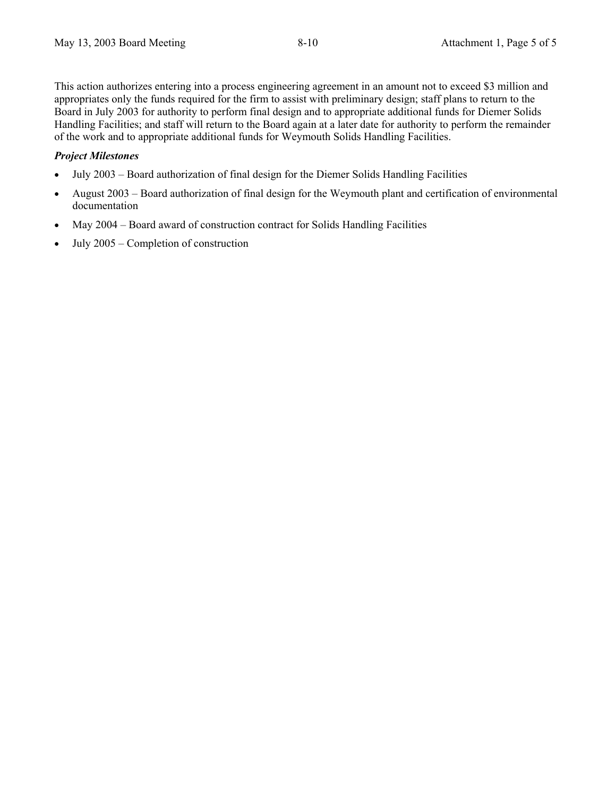This action authorizes entering into a process engineering agreement in an amount not to exceed \$3 million and appropriates only the funds required for the firm to assist with preliminary design; staff plans to return to the Board in July 2003 for authority to perform final design and to appropriate additional funds for Diemer Solids Handling Facilities; and staff will return to the Board again at a later date for authority to perform the remainder of the work and to appropriate additional funds for Weymouth Solids Handling Facilities.

### *Project Milestones*

- July 2003 Board authorization of final design for the Diemer Solids Handling Facilities
- August 2003 Board authorization of final design for the Weymouth plant and certification of environmental documentation
- May 2004 Board award of construction contract for Solids Handling Facilities
- July 2005 Completion of construction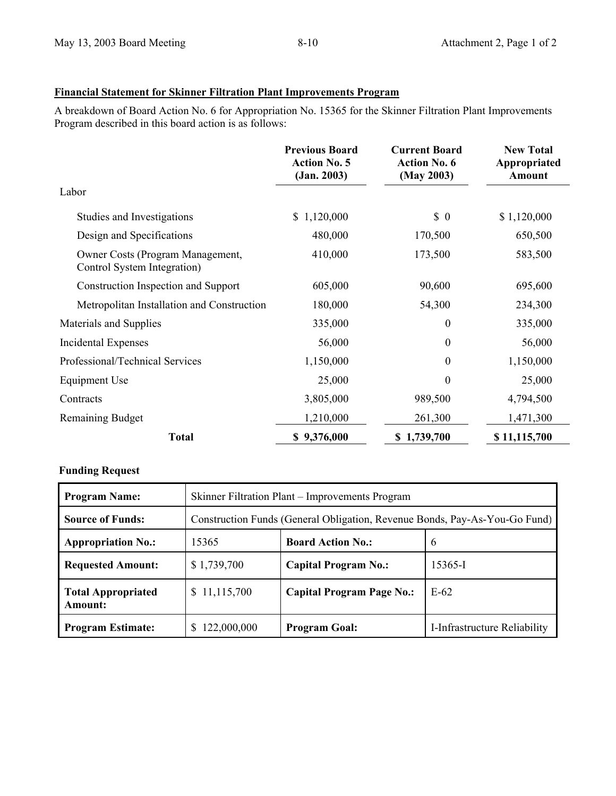# **Financial Statement for Skinner Filtration Plant Improvements Program**

A breakdown of Board Action No. 6 for Appropriation No. 15365 for the Skinner Filtration Plant Improvements Program described in this board action is as follows:

|                                                                 | <b>Previous Board</b><br><b>Action No. 5</b><br>(Jan. 2003) | <b>Current Board</b><br><b>Action No. 6</b><br>(May 2003) | <b>New Total</b><br>Appropriated<br>Amount |
|-----------------------------------------------------------------|-------------------------------------------------------------|-----------------------------------------------------------|--------------------------------------------|
| Labor                                                           |                                                             |                                                           |                                            |
| Studies and Investigations                                      | 1,120,000<br>\$                                             | $\begin{matrix} 0 \end{matrix}$                           | \$1,120,000                                |
| Design and Specifications                                       | 480,000                                                     | 170,500                                                   | 650,500                                    |
| Owner Costs (Program Management,<br>Control System Integration) | 410,000                                                     | 173,500                                                   | 583,500                                    |
| Construction Inspection and Support                             | 605,000                                                     | 90,600                                                    | 695,600                                    |
| Metropolitan Installation and Construction                      | 180,000                                                     | 54,300                                                    | 234,300                                    |
| Materials and Supplies                                          | 335,000                                                     | $\theta$                                                  | 335,000                                    |
| <b>Incidental Expenses</b>                                      | 56,000                                                      | $\boldsymbol{0}$                                          | 56,000                                     |
| Professional/Technical Services                                 | 1,150,000                                                   | $\theta$                                                  | 1,150,000                                  |
| Equipment Use                                                   | 25,000                                                      | $\theta$                                                  | 25,000                                     |
| Contracts                                                       | 3,805,000                                                   | 989,500                                                   | 4,794,500                                  |
| Remaining Budget                                                | 1,210,000                                                   | 261,300                                                   | 1,471,300                                  |
| <b>Total</b>                                                    | \$9,376,000                                                 | \$1,739,700                                               | \$11,115,700                               |

## **Funding Request**

| <b>Program Name:</b>                        | Skinner Filtration Plant – Improvements Program                            |                                  |                              |
|---------------------------------------------|----------------------------------------------------------------------------|----------------------------------|------------------------------|
| <b>Source of Funds:</b>                     | Construction Funds (General Obligation, Revenue Bonds, Pay-As-You-Go Fund) |                                  |                              |
| <b>Appropriation No.:</b>                   | 15365                                                                      | <b>Board Action No.:</b>         | 6                            |
| <b>Requested Amount:</b>                    | \$1,739,700                                                                | <b>Capital Program No.:</b>      | 15365-I                      |
| <b>Total Appropriated</b><br><b>Amount:</b> | \$11,115,700                                                               | <b>Capital Program Page No.:</b> | $E-62$                       |
| <b>Program Estimate:</b>                    | 122,000,000                                                                | <b>Program Goal:</b>             | I-Infrastructure Reliability |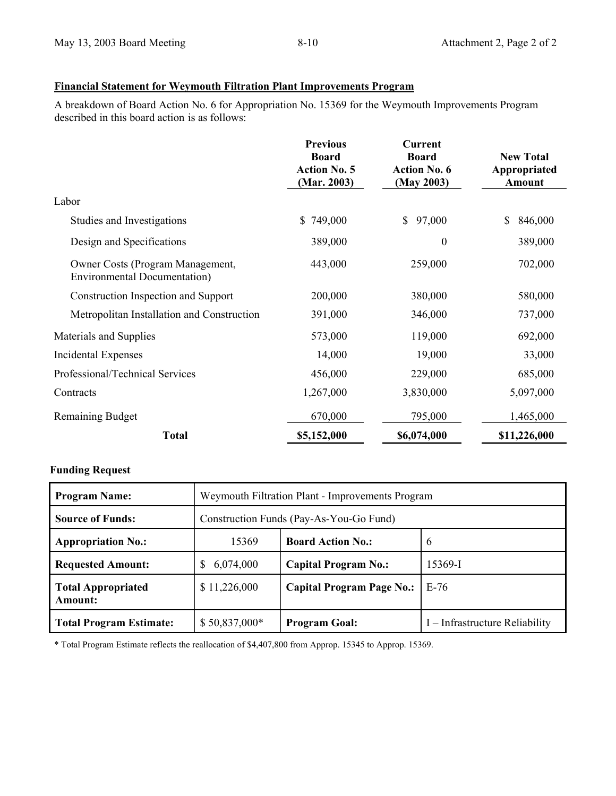## **Financial Statement for Weymouth Filtration Plant Improvements Program**

A breakdown of Board Action No. 6 for Appropriation No. 15369 for the Weymouth Improvements Program described in this board action is as follows:

|                                                                          | <b>Previous</b><br><b>Board</b><br><b>Action No. 5</b><br>(Mar. 2003) | <b>Current</b><br><b>Board</b><br><b>Action No. 6</b><br>(May 2003) | <b>New Total</b><br>Appropriated<br>Amount |
|--------------------------------------------------------------------------|-----------------------------------------------------------------------|---------------------------------------------------------------------|--------------------------------------------|
| Labor                                                                    |                                                                       |                                                                     |                                            |
| Studies and Investigations                                               | \$749,000                                                             | 97,000<br>$\mathbb{S}$                                              | \$<br>846,000                              |
| Design and Specifications                                                | 389,000                                                               | $\boldsymbol{0}$                                                    | 389,000                                    |
| Owner Costs (Program Management,<br><b>Environmental Documentation</b> ) | 443,000                                                               | 259,000                                                             | 702,000                                    |
| Construction Inspection and Support                                      | 200,000                                                               | 380,000                                                             | 580,000                                    |
| Metropolitan Installation and Construction                               | 391,000                                                               | 346,000                                                             | 737,000                                    |
| Materials and Supplies                                                   | 573,000                                                               | 119,000                                                             | 692,000                                    |
| Incidental Expenses                                                      | 14,000                                                                | 19,000                                                              | 33,000                                     |
| Professional/Technical Services                                          | 456,000                                                               | 229,000                                                             | 685,000                                    |
| Contracts                                                                | 1,267,000                                                             | 3,830,000                                                           | 5,097,000                                  |
| <b>Remaining Budget</b>                                                  | 670,000                                                               | 795,000                                                             | 1,465,000                                  |
| <b>Total</b>                                                             | \$5,152,000                                                           | \$6,074,000                                                         | \$11,226,000                               |

## **Funding Request**

| <b>Program Name:</b>                 | Weymouth Filtration Plant - Improvements Program |                                  |                                |
|--------------------------------------|--------------------------------------------------|----------------------------------|--------------------------------|
| <b>Source of Funds:</b>              | Construction Funds (Pay-As-You-Go Fund)          |                                  |                                |
| <b>Appropriation No.:</b>            | 15369                                            | <b>Board Action No.:</b>         | $\mathfrak b$                  |
| <b>Requested Amount:</b>             | 6,074,000                                        | <b>Capital Program No.:</b>      | 15369-I                        |
| <b>Total Appropriated</b><br>Amount: | \$11,226,000                                     | <b>Capital Program Page No.:</b> | $E-76$                         |
| <b>Total Program Estimate:</b>       | $$50,837,000*$                                   | <b>Program Goal:</b>             | I – Infrastructure Reliability |

\* Total Program Estimate reflects the reallocation of \$4,407,800 from Approp. 15345 to Approp. 15369.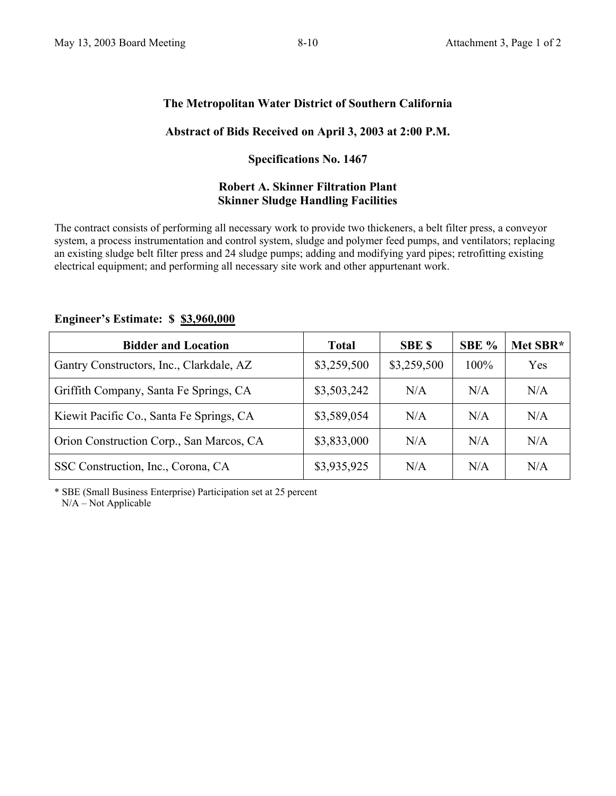# **The Metropolitan Water District of Southern California**

# **Abstract of Bids Received on April 3, 2003 at 2:00 P.M.**

## **Specifications No. 1467**

## **Robert A. Skinner Filtration Plant Skinner Sludge Handling Facilities**

The contract consists of performing all necessary work to provide two thickeners, a belt filter press, a conveyor system, a process instrumentation and control system, sludge and polymer feed pumps, and ventilators; replacing an existing sludge belt filter press and 24 sludge pumps; adding and modifying yard pipes; retrofitting existing electrical equipment; and performing all necessary site work and other appurtenant work.

# **Engineer's Estimate: \$ \$3,960,000**

| <b>Bidder and Location</b>               | <b>Total</b> | <b>SBE \$</b> | SBE %   | Met SBR* |
|------------------------------------------|--------------|---------------|---------|----------|
| Gantry Constructors, Inc., Clarkdale, AZ | \$3,259,500  | \$3,259,500   | $100\%$ | Yes      |
| Griffith Company, Santa Fe Springs, CA   | \$3,503,242  | N/A           | N/A     | N/A      |
| Kiewit Pacific Co., Santa Fe Springs, CA | \$3,589,054  | N/A           | N/A     | N/A      |
| Orion Construction Corp., San Marcos, CA | \$3,833,000  | N/A           | N/A     | N/A      |
| SSC Construction, Inc., Corona, CA       | \$3,935,925  | N/A           | N/A     | N/A      |

\* SBE (Small Business Enterprise) Participation set at 25 percent N/A – Not Applicable